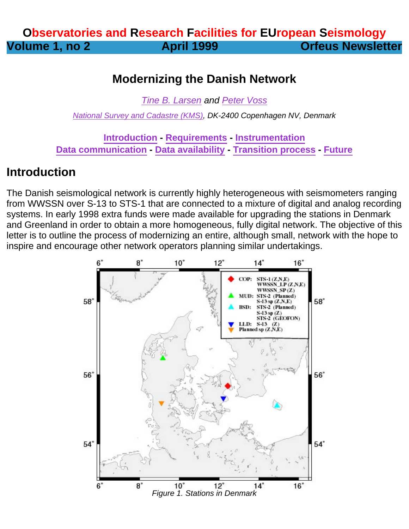## **Observatories and Research Facilities for EUropean Seismology Volume 1, no 2 April 1999 Orfeus Newsletter**

#### **Modernizing the Danish Network**

[Tine B. Larsen](mailto:tbl@kms.dk) and [Peter Voss](mailto:pv@gfy.ku.dk)

[National Survey and Cadastre \(KMS\)](http://www.kms.dk/index_en), DK-2400 Copenhagen NV, Denmark

**Introduction - Requirements - Instrumentation Data communication - Data availability - Transition process - Future**

#### **Introduction**

The Danish seismological network is currently highly heterogeneous with seismometers ranging from WWSSN over S-13 to STS-1 that are connected to a mixture of digital and analog recording systems. In early 1998 extra funds were made available for upgrading the stations in Denmark and Greenland in order to obtain a more homogeneous, fully digital network. The objective of this letter is to outline the process of modernizing an entire, although small, network with the hope to inspire and encourage other network operators planning similar undertakings.

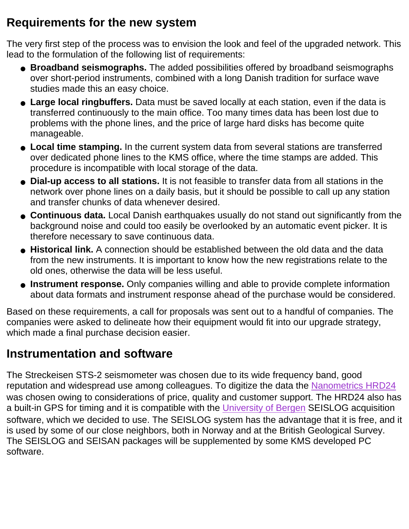## **Requirements for the new system**

The very first step of the process was to envision the look and feel of the upgraded network. This lead to the formulation of the following list of requirements:

- **Broadband seismographs.** The added possibilities offered by broadband seismographs over short-period instruments, combined with a long Danish tradition for surface wave studies made this an easy choice.
- **Large local ringbuffers.** Data must be saved locally at each station, even if the data is transferred continuously to the main office. Too many times data has been lost due to problems with the phone lines, and the price of large hard disks has become quite manageable.
- **Local time stamping.** In the current system data from several stations are transferred over dedicated phone lines to the KMS office, where the time stamps are added. This procedure is incompatible with local storage of the data.
- **Dial-up access to all stations.** It is not feasible to transfer data from all stations in the network over phone lines on a daily basis, but it should be possible to call up any station and transfer chunks of data whenever desired.
- **Continuous data.** Local Danish earthquakes usually do not stand out significantly from the background noise and could too easily be overlooked by an automatic event picker. It is therefore necessary to save continuous data.
- Historical link. A connection should be established between the old data and the data from the new instruments. It is important to know how the new registrations relate to the old ones, otherwise the data will be less useful.
- Instrument response. Only companies willing and able to provide complete information about data formats and instrument response ahead of the purchase would be considered.

Based on these requirements, a call for proposals was sent out to a handful of companies. The companies were asked to delineate how their equipment would fit into our upgrade strategy, which made a final purchase decision easier.

#### **Instrumentation and software**

The Streckeisen STS-2 seismometer was chosen due to its wide frequency band, good reputation and widespread use among colleagues. To digitize the data the [Nanometrics HRD24](http://www.nanometrics.ca/) was chosen owing to considerations of price, quality and customer support. The HRD24 also has a built-in GPS for timing and it is compatible with the [University of Bergen](http://www.ifjf.uib.no/) SEISLOG acquisition software, which we decided to use. The SEISLOG system has the advantage that it is free, and it is used by some of our close neighbors, both in Norway and at the British Geological Survey. The SEISLOG and SEISAN packages will be supplemented by some KMS developed PC software.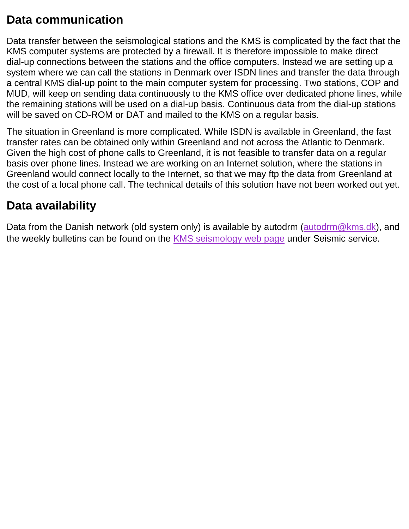## **Data communication**

Data transfer between the seismological stations and the KMS is complicated by the fact that the KMS computer systems are protected by a firewall. It is therefore impossible to make direct dial-up connections between the stations and the office computers. Instead we are setting up a system where we can call the stations in Denmark over ISDN lines and transfer the data through a central KMS dial-up point to the main computer system for processing. Two stations, COP and MUD, will keep on sending data continuously to the KMS office over dedicated phone lines, while the remaining stations will be used on a dial-up basis. Continuous data from the dial-up stations will be saved on CD-ROM or DAT and mailed to the KMS on a regular basis.

The situation in Greenland is more complicated. While ISDN is available in Greenland, the fast transfer rates can be obtained only within Greenland and not across the Atlantic to Denmark. Given the high cost of phone calls to Greenland, it is not feasible to transfer data on a regular basis over phone lines. Instead we are working on an Internet solution, where the stations in Greenland would connect locally to the Internet, so that we may ftp the data from Greenland at the cost of a local phone call. The technical details of this solution have not been worked out yet.

## **Data availability**

Data from the Danish network (old system only) is available by autodrm ([autodrm@kms.dk](mailto:autodrm@kms.dk)), and the weekly bulletins can be found on the [KMS seismology web page](http://www.kms.dk/research/seismology/index_en.html) under Seismic service.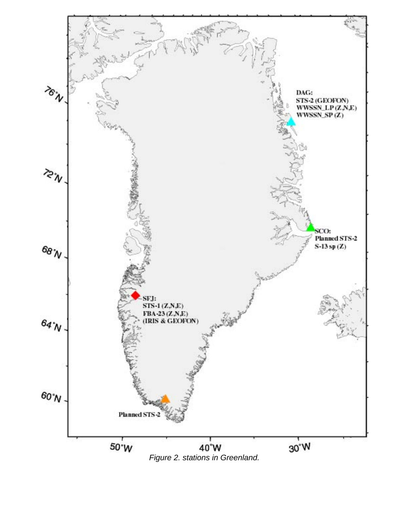